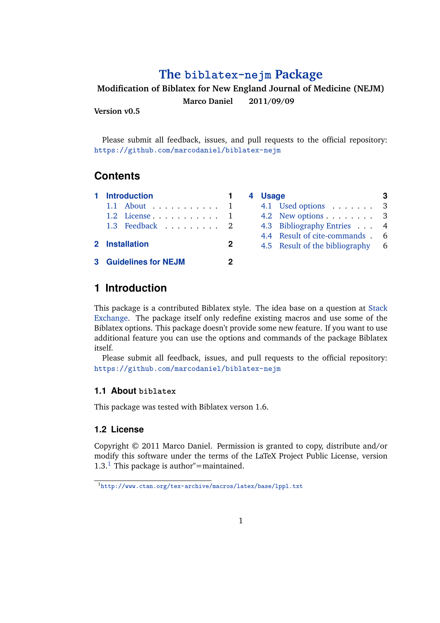# **The [biblatex-nejm](http://www.ctan.org/tex-archive/macros/latex/contrib/biblatex/) Package**

### **Modification of Biblatex for New England Journal of Medicine (NEJM)**

**Marco Daniel 2011/09/09**

**Version v0.5**

Please submit all feedback, issues, and pull requests to the official repository: <https://github.com/marcodaniel/biblatex-nejm>

# **Contents**

|                | 1 Introduction               |  |  |  |  |
|----------------|------------------------------|--|--|--|--|
|                | 1.1 About 1                  |  |  |  |  |
|                | $1.2$ License 1              |  |  |  |  |
|                | 1.3 Feedback 2               |  |  |  |  |
| 2 Installation |                              |  |  |  |  |
|                | <b>3 Guidelines for NEJM</b> |  |  |  |  |

| 4 | <b>Usage</b> |                                |   |
|---|--------------|--------------------------------|---|
|   |              | 4.1 Used options               | 3 |
|   |              | 4.2 New options $\dots \dots$  | 3 |
|   |              | 4.3 Bibliography Entries       | 4 |
|   |              | 4.4 Result of cite-commands.   | 6 |
|   |              | 4.5 Result of the bibliography | 6 |
|   |              |                                |   |

# **1 Introduction**

This package is a contributed Biblatex style. The idea base on a question at [Stack](http://tex.stackexchange.com/questions/26891/biblatex-style-file-for-new-england-journal-of-medicine-nejm/26894#26894) [Exchange.](http://tex.stackexchange.com/questions/26891/biblatex-style-file-for-new-england-journal-of-medicine-nejm/26894#26894) The package itself only redefine existing macros and use some of the Biblatex options. This package doesn't provide some new feature. If you want to use additional feature you can use the options and commands of the package Biblatex itself.

Please submit all feedback, issues, and pull requests to the official repository: <https://github.com/marcodaniel/biblatex-nejm>

### **1.1 About biblatex**

This package was tested with Biblatex verson 1.6.

### **1.2 License**

Copyright © 2011 Marco Daniel. Permission is granted to copy, distribute and/or modify this software under the terms of the LaTeX Project Public License, version 1.3.<sup>1</sup> This package is author"=maintained.

<sup>1</sup> <http://www.ctan.org/tex-archive/macros/latex/base/lppl.txt>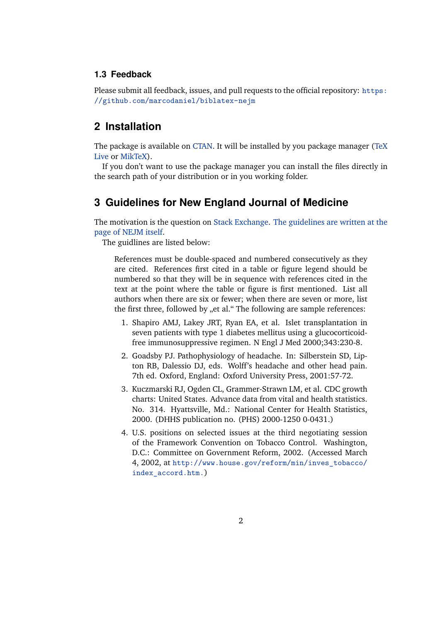#### <span id="page-1-0"></span>**1.3 Feedback**

Please submit all feedback, issues, and pull requests to the official repository: [https:](https://github.com/marcodaniel/biblatex-nejm) [//github.com/marcodaniel/biblatex-nejm](https://github.com/marcodaniel/biblatex-nejm)

## **2 Installation**

The package is available on [CTAN.](http://www.ctan.org) It will be installed by you package manager [\(TeX](http://www.tug.org/texlive) [Live](http://www.tug.org/texlive) or [MikTeX\)](http://www.miktex.org).

If you don't want to use the package manager you can install the files directly in the search path of your distribution or in you working folder.

### **3 Guidelines for New England Journal of Medicine**

The motivation is the question on [Stack Exchange.](http://tex.stackexchange.com/questions/26891/biblatex-style-file-for-new-england-journal-of-medicine-nejm/26894#26894) [The guidelines are written at the](http://www.nejm.org/page/author-center/manuscript-submission) [page of NEJM itself.](http://www.nejm.org/page/author-center/manuscript-submission)

The guidlines are listed below:

References must be double-spaced and numbered consecutively as they are cited. References first cited in a table or figure legend should be numbered so that they will be in sequence with references cited in the text at the point where the table or figure is first mentioned. List all authors when there are six or fewer; when there are seven or more, list the first three, followed by "et al." The following are sample references:

- 1. Shapiro AMJ, Lakey JRT, Ryan EA, et al. Islet transplantation in seven patients with type 1 diabetes mellitus using a glucocorticoidfree immunosuppressive regimen. N Engl J Med 2000;343:230-8.
- 2. Goadsby PJ. Pathophysiology of headache. In: Silberstein SD, Lipton RB, Dalessio DJ, eds. Wolff's headache and other head pain. 7th ed. Oxford, England: Oxford University Press, 2001:57-72.
- 3. Kuczmarski RJ, Ogden CL, Grammer-Strawn LM, et al. CDC growth charts: United States. Advance data from vital and health statistics. No. 314. Hyattsville, Md.: National Center for Health Statistics, 2000. (DHHS publication no. (PHS) 2000-1250 0-0431.)
- 4. U.S. positions on selected issues at the third negotiating session of the Framework Convention on Tobacco Control. Washington, D.C.: Committee on Government Reform, 2002. (Accessed March 4, 2002, at [http://www.house.gov/reform/min/inves\\_tobacco/](http://www.house.gov/reform/min/inves_tobacco/index_accord.htm.) [index\\_accord.htm.](http://www.house.gov/reform/min/inves_tobacco/index_accord.htm.))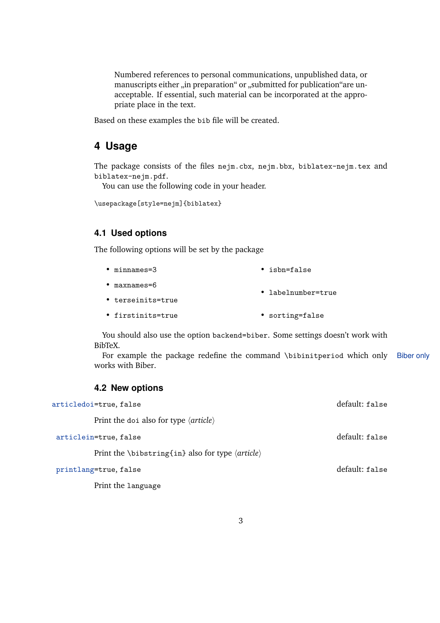<span id="page-2-0"></span>Numbered references to personal communications, unpublished data, or manuscripts either "in preparation" or "submitted for publication"are unacceptable. If essential, such material can be incorporated at the appropriate place in the text.

Based on these examples the bib file will be created.

### **4 Usage**

The package consists of the files nejm.cbx, nejm.bbx, biblatex-nejm.tex and biblatex-nejm.pdf.

You can use the following code in your header.

\usepackage[style=nejm]{biblatex}

#### **4.1 Used options**

The following options will be set by the package

- minnames=3 • isbn=false
- maxnames=6 • labelnumber=true
- terseinits=true
- firstinits=true • sorting=false

You should also use the option backend=biber. Some settings doesn't work with BibTeX.

For example the package redefine the command \bibinitperiod which only Biber only works with Biber.

#### **4.2 New options**

| articledoi=true, false                                             | default: false |
|--------------------------------------------------------------------|----------------|
| Print the doi also for type $\langle$ <i>article</i> $\rangle$     |                |
| articlein=true, false                                              | default: false |
| Print the \bibstring{in} also for type $\langle$ article $\rangle$ |                |
| printlang=true, false                                              | default: false |
| Print the language                                                 |                |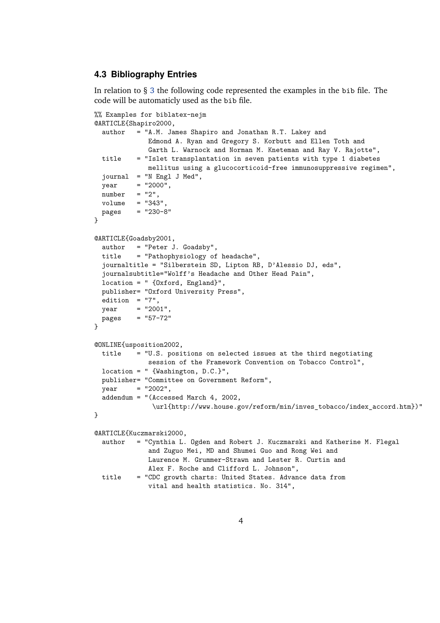#### <span id="page-3-0"></span>**4.3 Bibliography Entries**

In relation to § [3](#page-1-0) the following code represented the examples in the bib file. The code will be automaticly used as the bib file.

```
%% Examples for biblatex-nejm
@ARTICLE{Shapiro2000,
 author = "A.M. James Shapiro and Jonathan R.T. Lakey and
             Edmond A. Ryan and Gregory S. Korbutt and Ellen Toth and
             Garth L. Warnock and Norman M. Kneteman and Ray V. Rajotte",
 title = "Islet transplantation in seven patients with type 1 diabetes
             mellitus using a glucocorticoid-free immunosuppressive regimen",
 journal = "N Engl J Med",
 year = "2000",number = "2",volume = "343"pages = "230-8"
}
@ARTICLE{Goadsby2001,
 author = "Peter J. Goadsby",
 title = "Pathophysiology of headache",
 journaltitle = "Silberstein SD, Lipton RB, D'Alessio DJ, eds",
 journalsubtitle="Wolff's Headache and Other Head Pain",
 location = " {Oxford, England}",
 publisher= "Oxford University Press",
 edition = "7",year = "2001".pages = "57-72"}
@ONLINE{usposition2002,
 title = "U.S. positions on selected issues at the third negotiating
             session of the Framework Convention on Tobacco Control",
 location = " {Washington, D.C.}",
 publisher= "Committee on Government Reform",
 year = "2002",addendum = "(Accessed March 4, 2002,
              \url{http://www.house.gov/reform/min/inves_tobacco/index_accord.htm})"
}
@ARTICLE{Kuczmarski2000,
 author = "Cynthia L. Ogden and Robert J. Kuczmarski and Katherine M. Flegal
             and Zuguo Mei, MD and Shumei Guo and Rong Wei and
             Laurence M. Grummer-Strawn and Lester R. Curtin and
             Alex F. Roche and Clifford L. Johnson",
 title = "CDC growth charts: United States. Advance data from
             vital and health statistics. No. 314",
```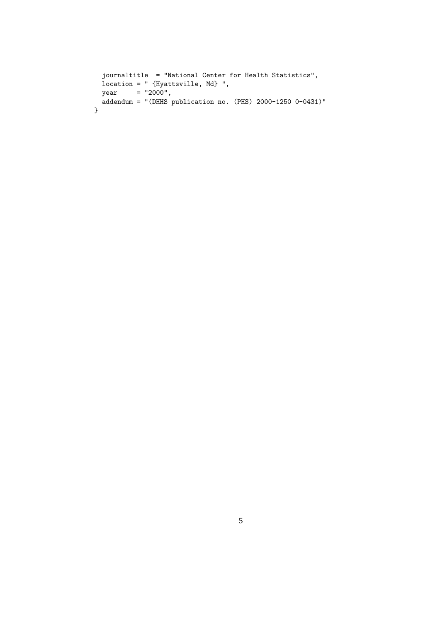```
journaltitle = "National Center for Health Statistics",
  location = " {Hyattsville, Md} ",
  year = "2000",
 \alphaddendum = "(DHHS publication no. (PHS) 2000-1250 0-0431)"
}
```